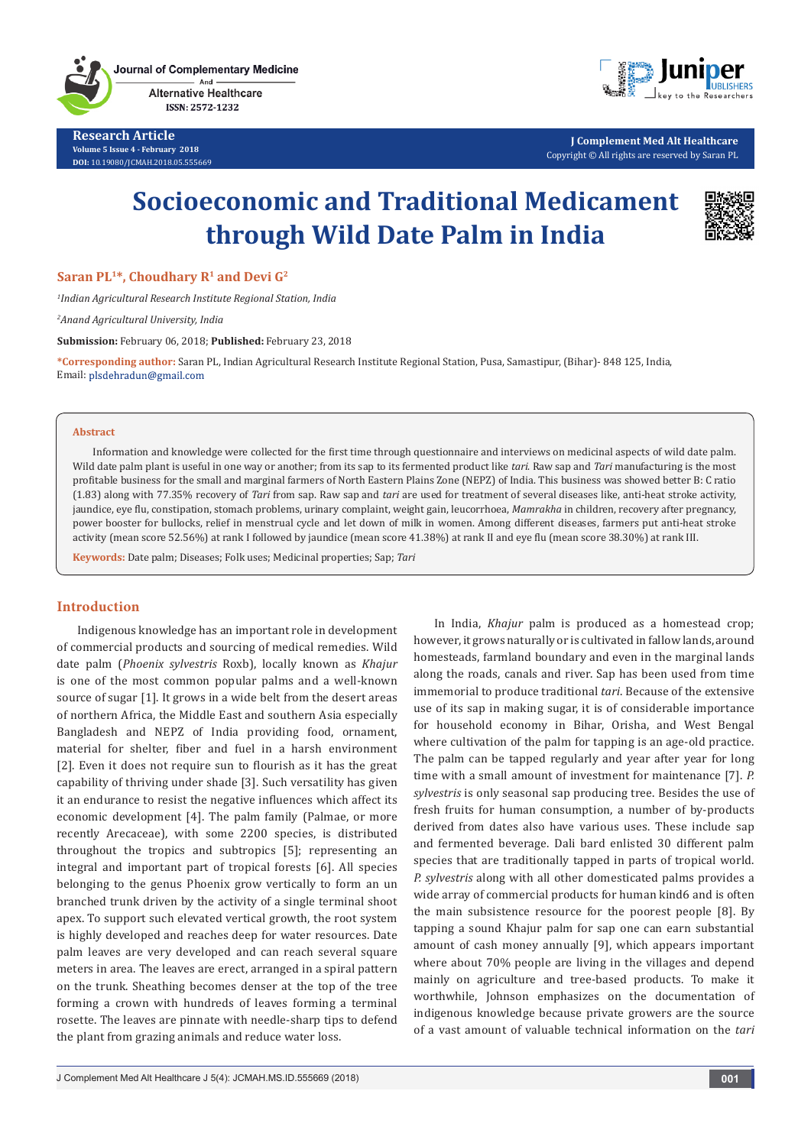Journal of Complementary Medicine And **Alternative Healthcare** 

ISSN: 2572-1232

**Research Article Volume 5 Issue 4 - February 2018 DOI:** [10.19080/JCMAH.2018.05.555669](http://dx.doi.org/10.19080/JCMAH.2018.05.555669)



**J Complement Med Alt Healthcare** Copyright © All rights are reserved by Saran PL

# **Socioeconomic and Traditional Medicament through Wild Date Palm in India**



**Saran PL<sup>1\*</sup>, Choudhary R<sup>1</sup> and Devi G<sup>2</sup>** 

*1 Indian Agricultural Research Institute Regional Station, India*

*2 Anand Agricultural University, India*

**Submission:** February 06, 2018; **Published:** February 23, 2018

**\*Corresponding author:** Saran PL, Indian Agricultural Research Institute Regional Station, Pusa, Samastipur, (Bihar)- 848 125, India, Email: plsdehradun@gmail.com

#### **Abstract**

Information and knowledge were collected for the first time through questionnaire and interviews on medicinal aspects of wild date palm. Wild date palm plant is useful in one way or another; from its sap to its fermented product like *tari*. Raw sap and *Tari* manufacturing is the most profitable business for the small and marginal farmers of North Eastern Plains Zone (NEPZ) of India. This business was showed better B: C ratio (1.83) along with 77.35% recovery of *Tari* from sap. Raw sap and *tari* are used for treatment of several diseases like, anti-heat stroke activity, jaundice, eye flu, constipation, stomach problems, urinary complaint, weight gain, leucorrhoea, *Mamrakha* in children, recovery after pregnancy, power booster for bullocks, relief in menstrual cycle and let down of milk in women. Among different diseases, farmers put anti-heat stroke activity (mean score 52.56%) at rank I followed by jaundice (mean score 41.38%) at rank II and eye flu (mean score 38.30%) at rank III.

**Keywords:** Date palm; Diseases; Folk uses; Medicinal properties; Sap; *Tari*

## **Introduction**

Indigenous knowledge has an important role in development of commercial products and sourcing of medical remedies. Wild date palm (*Phoenix sylvestris* Roxb), locally known as *Khajur* is one of the most common popular palms and a well-known source of sugar [1]. It grows in a wide belt from the desert areas of northern Africa, the Middle East and southern Asia especially Bangladesh and NEPZ of India providing food, ornament, material for shelter, fiber and fuel in a harsh environment [2]. Even it does not require sun to flourish as it has the great capability of thriving under shade [3]. Such versatility has given it an endurance to resist the negative influences which affect its economic development [4]. The palm family (Palmae, or more recently Arecaceae), with some 2200 species, is distributed throughout the tropics and subtropics [5]; representing an integral and important part of tropical forests [6]. All species belonging to the genus Phoenix grow vertically to form an un branched trunk driven by the activity of a single terminal shoot apex. To support such elevated vertical growth, the root system is highly developed and reaches deep for water resources. Date palm leaves are very developed and can reach several square meters in area. The leaves are erect, arranged in a spiral pattern on the trunk. Sheathing becomes denser at the top of the tree forming a crown with hundreds of leaves forming a terminal rosette. The leaves are pinnate with needle-sharp tips to defend the plant from grazing animals and reduce water loss.

In India, *Khajur* palm is produced as a homestead crop; however, it grows naturally or is cultivated in fallow lands, around homesteads, farmland boundary and even in the marginal lands along the roads, canals and river. Sap has been used from time immemorial to produce traditional *tari*. Because of the extensive use of its sap in making sugar, it is of considerable importance for household economy in Bihar, Orisha, and West Bengal where cultivation of the palm for tapping is an age-old practice. The palm can be tapped regularly and year after year for long time with a small amount of investment for maintenance [7]. *P. sylvestris* is only seasonal sap producing tree. Besides the use of fresh fruits for human consumption, a number of by-products derived from dates also have various uses. These include sap and fermented beverage. Dali bard enlisted 30 different palm species that are traditionally tapped in parts of tropical world. *P. sylvestris* along with all other domesticated palms provides a wide array of commercial products for human kind6 and is often the main subsistence resource for the poorest people [8]. By tapping a sound Khajur palm for sap one can earn substantial amount of cash money annually [9], which appears important where about 70% people are living in the villages and depend mainly on agriculture and tree-based products. To make it worthwhile, Johnson emphasizes on the documentation of indigenous knowledge because private growers are the source of a vast amount of valuable technical information on the *tari*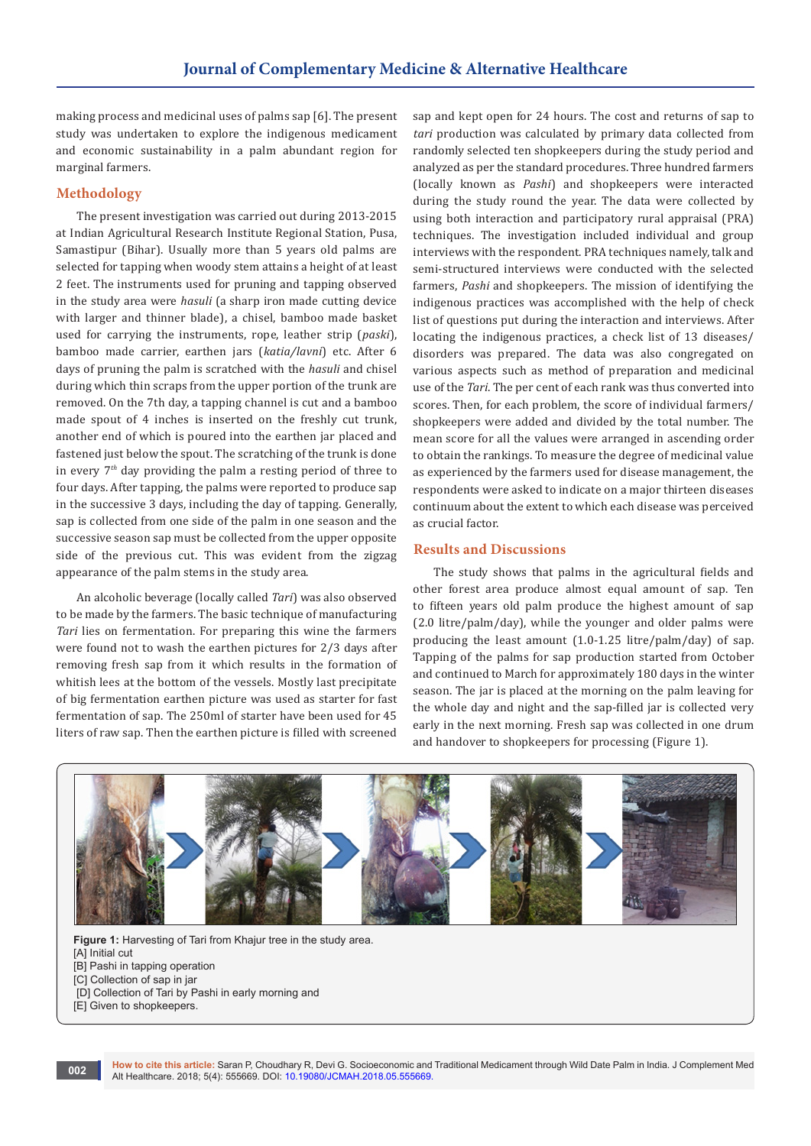making process and medicinal uses of palms sap [6]. The present study was undertaken to explore the indigenous medicament and economic sustainability in a palm abundant region for marginal farmers.

## **Methodology**

The present investigation was carried out during 2013-2015 at Indian Agricultural Research Institute Regional Station, Pusa, Samastipur (Bihar). Usually more than 5 years old palms are selected for tapping when woody stem attains a height of at least 2 feet. The instruments used for pruning and tapping observed in the study area were *hasuli* (a sharp iron made cutting device with larger and thinner blade), a chisel, bamboo made basket used for carrying the instruments, rope, leather strip (*paski*), bamboo made carrier, earthen jars (*katia/lavni*) etc. After 6 days of pruning the palm is scratched with the *hasuli* and chisel during which thin scraps from the upper portion of the trunk are removed. On the 7th day, a tapping channel is cut and a bamboo made spout of 4 inches is inserted on the freshly cut trunk, another end of which is poured into the earthen jar placed and fastened just below the spout. The scratching of the trunk is done in every 7*th* day providing the palm a resting period of three to four days. After tapping, the palms were reported to produce sap in the successive 3 days, including the day of tapping. Generally, sap is collected from one side of the palm in one season and the successive season sap must be collected from the upper opposite side of the previous cut. This was evident from the zigzag appearance of the palm stems in the study area.

An alcoholic beverage (locally called *Tari*) was also observed to be made by the farmers. The basic technique of manufacturing *Tari* lies on fermentation. For preparing this wine the farmers were found not to wash the earthen pictures for 2/3 days after removing fresh sap from it which results in the formation of whitish lees at the bottom of the vessels. Mostly last precipitate of big fermentation earthen picture was used as starter for fast fermentation of sap. The 250ml of starter have been used for 45 liters of raw sap. Then the earthen picture is filled with screened

sap and kept open for 24 hours. The cost and returns of sap to *tari* production was calculated by primary data collected from randomly selected ten shopkeepers during the study period and analyzed as per the standard procedures. Three hundred farmers (locally known as *Pashi*) and shopkeepers were interacted during the study round the year. The data were collected by using both interaction and participatory rural appraisal (PRA) techniques. The investigation included individual and group interviews with the respondent. PRA techniques namely, talk and semi-structured interviews were conducted with the selected farmers, *Pashi* and shopkeepers. The mission of identifying the indigenous practices was accomplished with the help of check list of questions put during the interaction and interviews. After locating the indigenous practices, a check list of 13 diseases/ disorders was prepared. The data was also congregated on various aspects such as method of preparation and medicinal use of the *Tari*. The per cent of each rank was thus converted into scores. Then, for each problem, the score of individual farmers/ shopkeepers were added and divided by the total number. The mean score for all the values were arranged in ascending order to obtain the rankings. To measure the degree of medicinal value as experienced by the farmers used for disease management, the respondents were asked to indicate on a major thirteen diseases continuum about the extent to which each disease was perceived as crucial factor.

## **Results and Discussions**

The study shows that palms in the agricultural fields and other forest area produce almost equal amount of sap. Ten to fifteen years old palm produce the highest amount of sap (2.0 litre/palm/day), while the younger and older palms were producing the least amount (1.0-1.25 litre/palm/day) of sap. Tapping of the palms for sap production started from October and continued to March for approximately 180 days in the winter season. The jar is placed at the morning on the palm leaving for the whole day and night and the sap-filled jar is collected very early in the next morning. Fresh sap was collected in one drum and handover to shopkeepers for processing (Figure 1).



**Figure 1:** Harvesting of Tari from Khajur tree in the study area. [A] Initial cut [B] Pashi in tapping operation [C] Collection of sap in jar [D] Collection of Tari by Pashi in early morning and [E] Given to shopkeepers.

**How to cite this article:** Saran P, Choudhary R, Devi G. Socioeconomic and Traditional Medicament through Wild Date Palm in India. J Complement Med Alt Healthcare. 2018; 5(4): 555669. DOI: [10.19080/JCMAH.2018.05.555669.](http://dx.doi.org/10.19080/JCMAH.2018.05.555669) **<sup>002</sup>**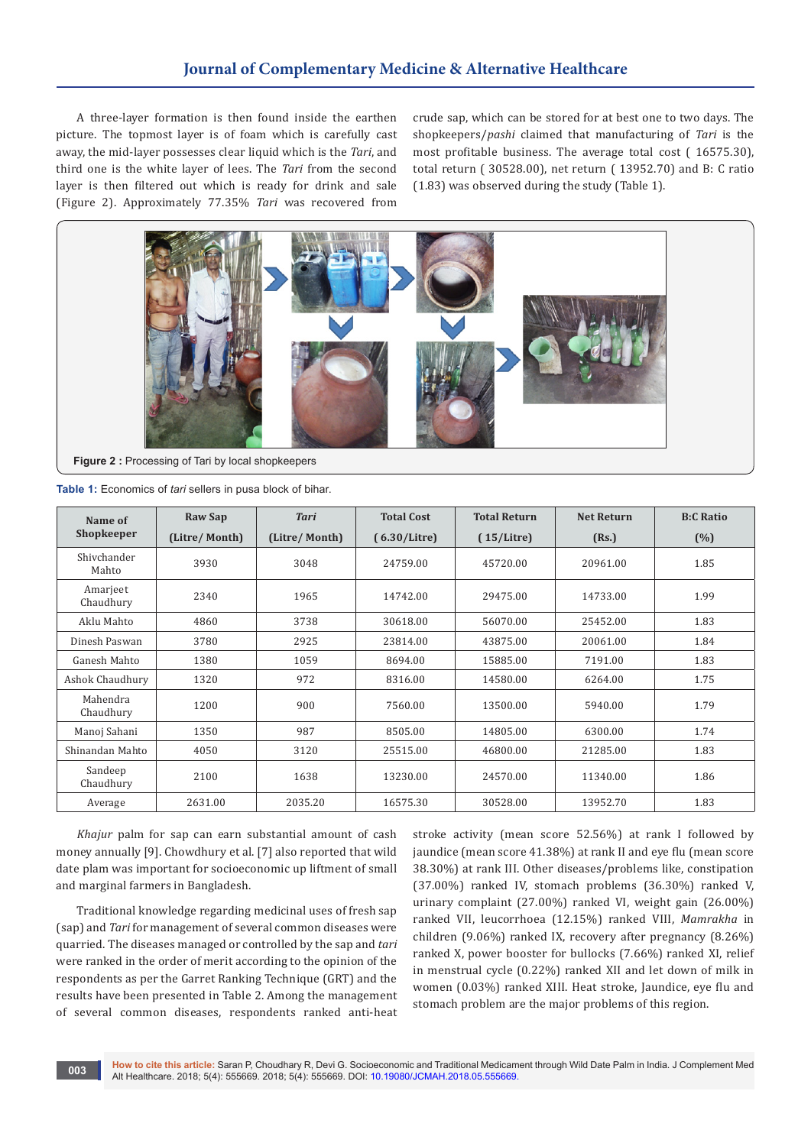## **Journal of Complementary Medicine & Alternative Healthcare**

A three-layer formation is then found inside the earthen picture. The topmost layer is of foam which is carefully cast away, the mid-layer possesses clear liquid which is the *Tari*, and third one is the white layer of lees. The *Tari* from the second layer is then filtered out which is ready for drink and sale (Figure 2). Approximately 77.35% *Tari* was recovered from

crude sap, which can be stored for at best one to two days. The shopkeepers/*pashi* claimed that manufacturing of *Tari* is the most profitable business. The average total cost ( 16575.30), total return ( 30528.00), net return ( 13952.70) and B: C ratio (1.83) was observed during the study (Table 1).



**Figure 2 :** Processing of Tari by local shopkeepers

| Table 1: Economics of tari sellers in pusa block of bihar. |  |  |  |
|------------------------------------------------------------|--|--|--|
|------------------------------------------------------------|--|--|--|

| Name of               | <b>Raw Sap</b> | <b>Tari</b>   | <b>Total Cost</b> | <b>Total Return</b> | <b>Net Return</b> | <b>B:C Ratio</b> |
|-----------------------|----------------|---------------|-------------------|---------------------|-------------------|------------------|
| Shopkeeper            | (Litre/Month)  | (Litre/Month) | (6.30/Litre)      | (15/Litre)          | (Rs.)             | (%)              |
| Shivchander<br>Mahto  | 3930           | 3048          | 24759.00          | 45720.00            | 20961.00          | 1.85             |
| Amarjeet<br>Chaudhury | 2340           | 1965          | 14742.00          | 29475.00            | 14733.00          | 1.99             |
| Aklu Mahto            | 4860           | 3738          | 30618.00          | 56070.00            | 25452.00          | 1.83             |
| Dinesh Paswan         | 3780           | 2925          | 23814.00          | 43875.00            | 20061.00          | 1.84             |
| Ganesh Mahto          | 1380           | 1059          | 8694.00           | 15885.00            | 7191.00           | 1.83             |
| Ashok Chaudhury       | 1320           | 972           | 8316.00           | 14580.00            | 6264.00           | 1.75             |
| Mahendra<br>Chaudhury | 1200           | 900           | 7560.00           | 13500.00            | 5940.00           | 1.79             |
| Manoj Sahani          | 1350           | 987           | 8505.00           | 14805.00            | 6300.00           | 1.74             |
| Shinandan Mahto       | 4050           | 3120          | 25515.00          | 46800.00            | 21285.00          | 1.83             |
| Sandeep<br>Chaudhury  | 2100           | 1638          | 13230.00          | 24570.00            | 11340.00          | 1.86             |
| Average               | 2631.00        | 2035.20       | 16575.30          | 30528.00            | 13952.70          | 1.83             |

*Khajur* palm for sap can earn substantial amount of cash money annually [9]. Chowdhury et al. [7] also reported that wild date plam was important for socioeconomic up liftment of small and marginal farmers in Bangladesh.

Traditional knowledge regarding medicinal uses of fresh sap (sap) and *Tari* for management of several common diseases were quarried. The diseases managed or controlled by the sap and *tari* were ranked in the order of merit according to the opinion of the respondents as per the Garret Ranking Technique (GRT) and the results have been presented in Table 2. Among the management of several common diseases, respondents ranked anti-heat stroke activity (mean score 52.56%) at rank I followed by jaundice (mean score 41.38%) at rank II and eye flu (mean score 38.30%) at rank III. Other diseases/problems like, constipation (37.00%) ranked IV, stomach problems (36.30%) ranked V, urinary complaint (27.00%) ranked VI, weight gain (26.00%) ranked VII, leucorrhoea (12.15%) ranked VIII, *Mamrakha* in children (9.06%) ranked IX, recovery after pregnancy (8.26%) ranked X, power booster for bullocks (7.66%) ranked XI, relief in menstrual cycle (0.22%) ranked XII and let down of milk in women (0.03%) ranked XIII. Heat stroke, Jaundice, eye flu and stomach problem are the major problems of this region.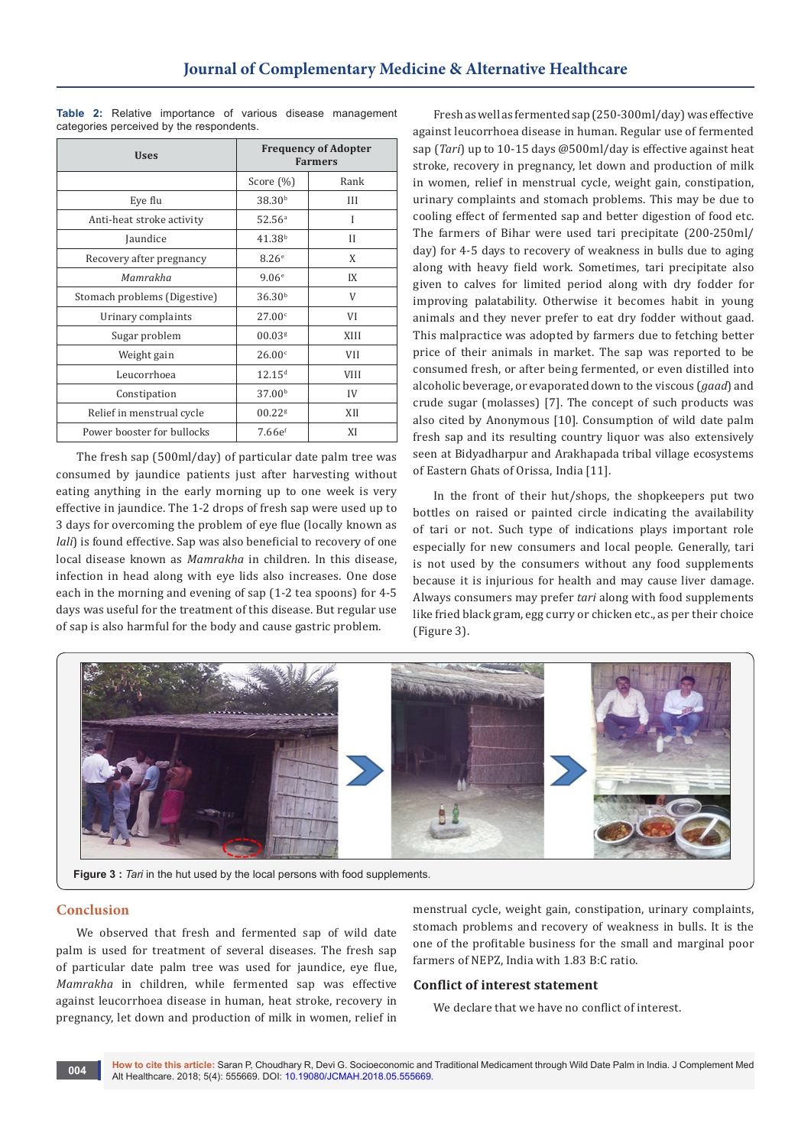| <b>Uses</b>                  | <b>Frequency of Adopter</b><br><b>Farmers</b> |             |  |
|------------------------------|-----------------------------------------------|-------------|--|
|                              | Score $(\%)$                                  | Rank        |  |
| Eye flu                      | 38.30 <sup>b</sup>                            | Ш           |  |
| Anti-heat stroke activity    | 52.56 <sup>a</sup>                            | I           |  |
| Jaundice                     | 41.38 <sup>b</sup>                            | Н           |  |
| Recovery after pregnancy     | 8.26 <sup>e</sup>                             | X           |  |
| Mamrakha                     | 9.06 <sup>e</sup>                             | IX          |  |
| Stomach problems (Digestive) | 36.30 <sup>b</sup>                            | V           |  |
| Urinary complaints           | 27.00 <sup>c</sup>                            | VI          |  |
| Sugar problem                | 00.03 <sup>g</sup>                            | XIII        |  |
| Weight gain                  | 26.00c                                        | <b>VII</b>  |  |
| Leucorrhoea                  | 12.15 <sup>d</sup>                            | <b>VIII</b> |  |
| Constipation                 | 37.00 <sup>b</sup>                            | IV          |  |
| Relief in menstrual cycle    | $00.22$ <sup>g</sup>                          | XII         |  |
| Power booster for bullocks   | 7.66e <sup>f</sup>                            | XI          |  |

**Table 2:** Relative importance of various disease management categories perceived by the respondents.

The fresh sap (500ml/day) of particular date palm tree was consumed by jaundice patients just after harvesting without eating anything in the early morning up to one week is very effective in jaundice. The 1-2 drops of fresh sap were used up to 3 days for overcoming the problem of eye flue (locally known as *lali*) is found effective. Sap was also beneficial to recovery of one local disease known as *Mamrakha* in children. In this disease, infection in head along with eye lids also increases. One dose each in the morning and evening of sap (1-2 tea spoons) for 4-5 days was useful for the treatment of this disease. But regular use of sap is also harmful for the body and cause gastric problem.

Fresh as well as fermented sap (250-300ml/day) was effective against leucorrhoea disease in human. Regular use of fermented sap (*Tari*) up to 10-15 days @500ml/day is effective against heat stroke, recovery in pregnancy, let down and production of milk in women, relief in menstrual cycle, weight gain, constipation, urinary complaints and stomach problems. This may be due to cooling effect of fermented sap and better digestion of food etc. The farmers of Bihar were used tari precipitate (200-250ml/ day) for 4-5 days to recovery of weakness in bulls due to aging along with heavy field work. Sometimes, tari precipitate also given to calves for limited period along with dry fodder for improving palatability. Otherwise it becomes habit in young animals and they never prefer to eat dry fodder without gaad. This malpractice was adopted by farmers due to fetching better price of their animals in market. The sap was reported to be consumed fresh, or after being fermented, or even distilled into alcoholic beverage, or evaporated down to the viscous (*gaad*) and crude sugar (molasses) [7]. The concept of such products was also cited by Anonymous [10]. Consumption of wild date palm fresh sap and its resulting country liquor was also extensively seen at Bidyadharpur and Arakhapada tribal village ecosystems of Eastern Ghats of Orissa, India [11].

In the front of their hut/shops, the shopkeepers put two bottles on raised or painted circle indicating the availability of tari or not. Such type of indications plays important role especially for new consumers and local people. Generally, tari is not used by the consumers without any food supplements because it is injurious for health and may cause liver damage. Always consumers may prefer *tari* along with food supplements like fried black gram, egg curry or chicken etc., as per their choice (Figure 3).



**Figure 3 :** *Tari* in the hut used by the local persons with food supplements.

## **Conclusion**

We observed that fresh and fermented sap of wild date palm is used for treatment of several diseases. The fresh sap of particular date palm tree was used for jaundice, eye flue, *Mamrakha* in children, while fermented sap was effective against leucorrhoea disease in human, heat stroke, recovery in pregnancy, let down and production of milk in women, relief in

menstrual cycle, weight gain, constipation, urinary complaints, stomach problems and recovery of weakness in bulls. It is the one of the profitable business for the small and marginal poor farmers of NEPZ, India with 1.83 B:C ratio.

### **Conflict of interest statement**

We declare that we have no conflict of interest.